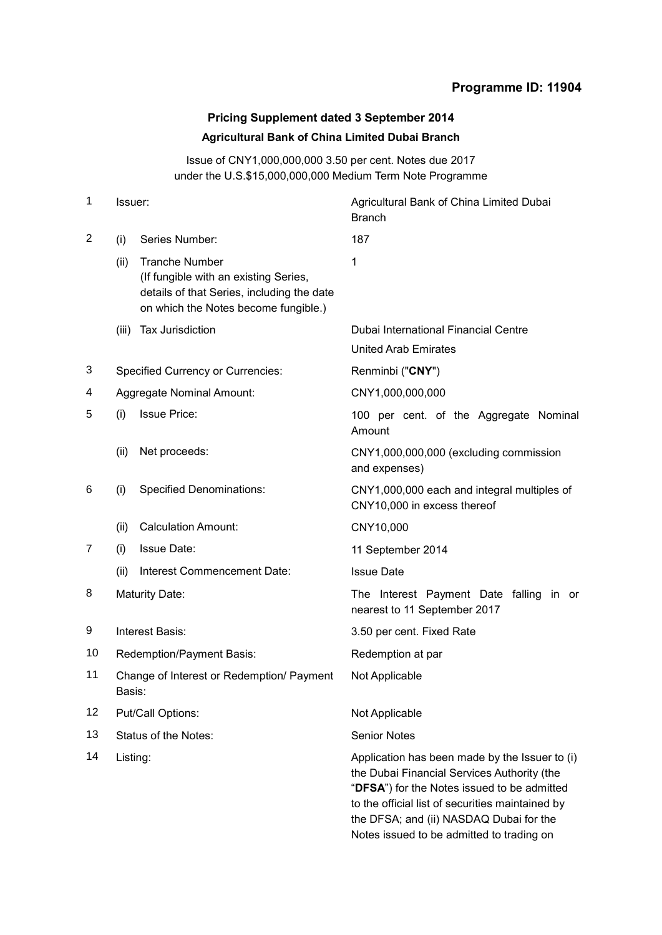## **Programme ID: 11904**

# **Pricing Supplement dated 3 September 2014 Agricultural Bank of China Limited Dubai Branch**

Issue of CNY1,000,000,000 3.50 per cent. Notes due 2017 under the U.S.\$15,000,000,000 Medium Term Note Programme

| Issuer:                                             |                                                                                                                                                      | Agricultural Bank of China Limited Dubai<br><b>Branch</b>                                                                                                                                                                                                                                |  |
|-----------------------------------------------------|------------------------------------------------------------------------------------------------------------------------------------------------------|------------------------------------------------------------------------------------------------------------------------------------------------------------------------------------------------------------------------------------------------------------------------------------------|--|
| (i)                                                 | Series Number:                                                                                                                                       | 187                                                                                                                                                                                                                                                                                      |  |
| (ii)                                                | <b>Tranche Number</b><br>(If fungible with an existing Series,<br>details of that Series, including the date<br>on which the Notes become fungible.) | 1                                                                                                                                                                                                                                                                                        |  |
| (iii)                                               | Tax Jurisdiction                                                                                                                                     | Dubai International Financial Centre                                                                                                                                                                                                                                                     |  |
|                                                     |                                                                                                                                                      | <b>United Arab Emirates</b>                                                                                                                                                                                                                                                              |  |
| <b>Specified Currency or Currencies:</b>            |                                                                                                                                                      | Renminbi ("CNY")                                                                                                                                                                                                                                                                         |  |
|                                                     |                                                                                                                                                      | CNY1,000,000,000                                                                                                                                                                                                                                                                         |  |
| (i)                                                 | <b>Issue Price:</b>                                                                                                                                  | 100 per cent. of the Aggregate Nominal<br>Amount                                                                                                                                                                                                                                         |  |
| (ii)                                                | Net proceeds:                                                                                                                                        | CNY1,000,000,000 (excluding commission<br>and expenses)                                                                                                                                                                                                                                  |  |
| (i)                                                 | <b>Specified Denominations:</b>                                                                                                                      | CNY1,000,000 each and integral multiples of<br>CNY10,000 in excess thereof                                                                                                                                                                                                               |  |
| (ii)                                                | <b>Calculation Amount:</b>                                                                                                                           | CNY10,000                                                                                                                                                                                                                                                                                |  |
| (i)                                                 | <b>Issue Date:</b>                                                                                                                                   | 11 September 2014                                                                                                                                                                                                                                                                        |  |
| (ii)                                                | Interest Commencement Date:                                                                                                                          | <b>Issue Date</b>                                                                                                                                                                                                                                                                        |  |
| <b>Maturity Date:</b>                               |                                                                                                                                                      | The Interest Payment Date falling in or<br>nearest to 11 September 2017                                                                                                                                                                                                                  |  |
| Interest Basis:                                     |                                                                                                                                                      | 3.50 per cent. Fixed Rate                                                                                                                                                                                                                                                                |  |
| Redemption/Payment Basis:                           |                                                                                                                                                      | Redemption at par                                                                                                                                                                                                                                                                        |  |
| Change of Interest or Redemption/ Payment<br>Basis: |                                                                                                                                                      | Not Applicable                                                                                                                                                                                                                                                                           |  |
| Put/Call Options:                                   |                                                                                                                                                      | Not Applicable                                                                                                                                                                                                                                                                           |  |
| Status of the Notes:                                |                                                                                                                                                      | <b>Senior Notes</b>                                                                                                                                                                                                                                                                      |  |
| 14<br>Listing:                                      |                                                                                                                                                      | Application has been made by the Issuer to (i)<br>the Dubai Financial Services Authority (the<br>"DFSA") for the Notes issued to be admitted<br>to the official list of securities maintained by<br>the DFSA; and (ii) NASDAQ Dubai for the<br>Notes issued to be admitted to trading on |  |
|                                                     |                                                                                                                                                      | Aggregate Nominal Amount:                                                                                                                                                                                                                                                                |  |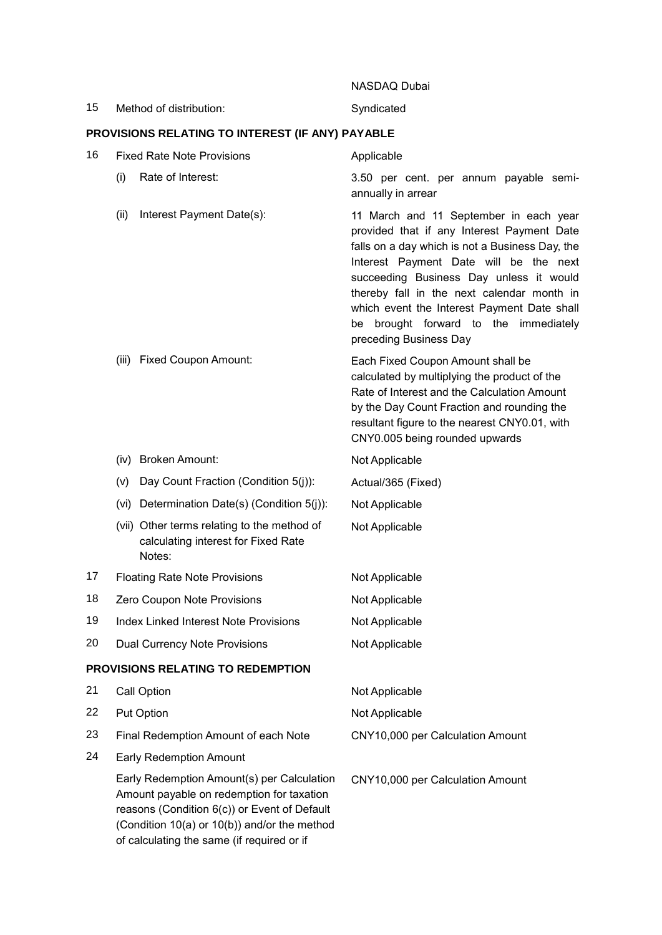|    |                                                                                                                                                                                                                                       | NASDAQ Dubai                                                                                                                                                                                                                                                                                                                                                                                 |
|----|---------------------------------------------------------------------------------------------------------------------------------------------------------------------------------------------------------------------------------------|----------------------------------------------------------------------------------------------------------------------------------------------------------------------------------------------------------------------------------------------------------------------------------------------------------------------------------------------------------------------------------------------|
| 15 | Method of distribution:                                                                                                                                                                                                               | Syndicated                                                                                                                                                                                                                                                                                                                                                                                   |
|    | PROVISIONS RELATING TO INTEREST (IF ANY) PAYABLE                                                                                                                                                                                      |                                                                                                                                                                                                                                                                                                                                                                                              |
| 16 | <b>Fixed Rate Note Provisions</b>                                                                                                                                                                                                     | Applicable                                                                                                                                                                                                                                                                                                                                                                                   |
|    | (i)<br>Rate of Interest:                                                                                                                                                                                                              | 3.50 per cent. per annum payable semi-<br>annually in arrear                                                                                                                                                                                                                                                                                                                                 |
|    | (ii)<br>Interest Payment Date(s):                                                                                                                                                                                                     | 11 March and 11 September in each year<br>provided that if any Interest Payment Date<br>falls on a day which is not a Business Day, the<br>Interest Payment Date will be the next<br>succeeding Business Day unless it would<br>thereby fall in the next calendar month in<br>which event the Interest Payment Date shall<br>be brought forward to the immediately<br>preceding Business Day |
|    | <b>Fixed Coupon Amount:</b><br>(iii)                                                                                                                                                                                                  | Each Fixed Coupon Amount shall be<br>calculated by multiplying the product of the<br>Rate of Interest and the Calculation Amount<br>by the Day Count Fraction and rounding the<br>resultant figure to the nearest CNY0.01, with<br>CNY0.005 being rounded upwards                                                                                                                            |
|    | (iv) Broken Amount:                                                                                                                                                                                                                   | Not Applicable                                                                                                                                                                                                                                                                                                                                                                               |
|    | Day Count Fraction (Condition 5(j)):<br>(v)                                                                                                                                                                                           | Actual/365 (Fixed)                                                                                                                                                                                                                                                                                                                                                                           |
|    | (vi) Determination Date(s) (Condition 5(j)):                                                                                                                                                                                          | Not Applicable                                                                                                                                                                                                                                                                                                                                                                               |
|    | (vii) Other terms relating to the method of<br>calculating interest for Fixed Rate<br>Notes:                                                                                                                                          | Not Applicable                                                                                                                                                                                                                                                                                                                                                                               |
| 17 | <b>Floating Rate Note Provisions</b>                                                                                                                                                                                                  | Not Applicable                                                                                                                                                                                                                                                                                                                                                                               |
| 18 | Zero Coupon Note Provisions                                                                                                                                                                                                           | Not Applicable                                                                                                                                                                                                                                                                                                                                                                               |
| 19 | <b>Index Linked Interest Note Provisions</b>                                                                                                                                                                                          | Not Applicable                                                                                                                                                                                                                                                                                                                                                                               |
| 20 | <b>Dual Currency Note Provisions</b>                                                                                                                                                                                                  | Not Applicable                                                                                                                                                                                                                                                                                                                                                                               |
|    | PROVISIONS RELATING TO REDEMPTION                                                                                                                                                                                                     |                                                                                                                                                                                                                                                                                                                                                                                              |
| 21 | Call Option                                                                                                                                                                                                                           | Not Applicable                                                                                                                                                                                                                                                                                                                                                                               |
| 22 | Put Option                                                                                                                                                                                                                            | Not Applicable                                                                                                                                                                                                                                                                                                                                                                               |
| 23 | Final Redemption Amount of each Note                                                                                                                                                                                                  | CNY10,000 per Calculation Amount                                                                                                                                                                                                                                                                                                                                                             |
| 24 | <b>Early Redemption Amount</b>                                                                                                                                                                                                        |                                                                                                                                                                                                                                                                                                                                                                                              |
|    | Early Redemption Amount(s) per Calculation<br>Amount payable on redemption for taxation<br>reasons (Condition 6(c)) or Event of Default<br>(Condition 10(a) or 10(b)) and/or the method<br>of calculating the same (if required or if | CNY10,000 per Calculation Amount                                                                                                                                                                                                                                                                                                                                                             |
|    |                                                                                                                                                                                                                                       |                                                                                                                                                                                                                                                                                                                                                                                              |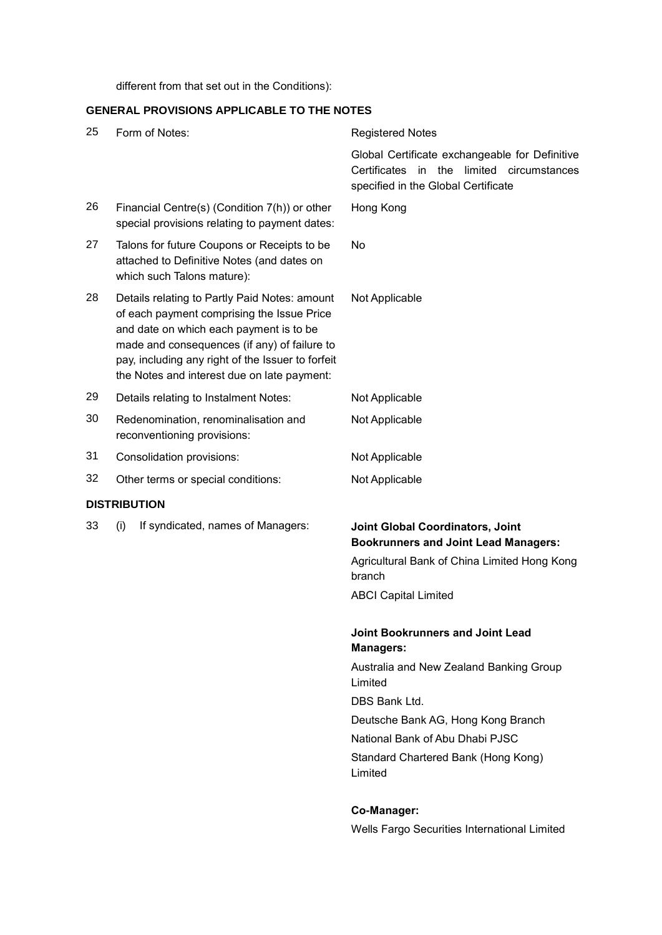different from that set out in the Conditions):

## **GENERAL PROVISIONS APPLICABLE TO THE NOTES**

| 25 | Form of Notes:                                                                                                                                                                                                                                                                             | <b>Registered Notes</b>                                                                                                                                                                                                                                               |  |
|----|--------------------------------------------------------------------------------------------------------------------------------------------------------------------------------------------------------------------------------------------------------------------------------------------|-----------------------------------------------------------------------------------------------------------------------------------------------------------------------------------------------------------------------------------------------------------------------|--|
|    |                                                                                                                                                                                                                                                                                            | Global Certificate exchangeable for Definitive<br>Certificates<br>in the limited circumstances<br>specified in the Global Certificate                                                                                                                                 |  |
| 26 | Financial Centre(s) (Condition 7(h)) or other<br>special provisions relating to payment dates:                                                                                                                                                                                             | Hong Kong                                                                                                                                                                                                                                                             |  |
| 27 | Talons for future Coupons or Receipts to be<br>attached to Definitive Notes (and dates on<br>which such Talons mature):                                                                                                                                                                    | No                                                                                                                                                                                                                                                                    |  |
| 28 | Details relating to Partly Paid Notes: amount<br>of each payment comprising the Issue Price<br>and date on which each payment is to be<br>made and consequences (if any) of failure to<br>pay, including any right of the Issuer to forfeit<br>the Notes and interest due on late payment: | Not Applicable                                                                                                                                                                                                                                                        |  |
| 29 | Details relating to Instalment Notes:                                                                                                                                                                                                                                                      | Not Applicable                                                                                                                                                                                                                                                        |  |
| 30 | Redenomination, renominalisation and<br>reconventioning provisions:                                                                                                                                                                                                                        | Not Applicable                                                                                                                                                                                                                                                        |  |
| 31 | Consolidation provisions:                                                                                                                                                                                                                                                                  | Not Applicable                                                                                                                                                                                                                                                        |  |
| 32 | Other terms or special conditions:                                                                                                                                                                                                                                                         | Not Applicable                                                                                                                                                                                                                                                        |  |
|    | <b>DISTRIBUTION</b>                                                                                                                                                                                                                                                                        |                                                                                                                                                                                                                                                                       |  |
| 33 | If syndicated, names of Managers:<br>(i)                                                                                                                                                                                                                                                   | Joint Global Coordinators, Joint<br><b>Bookrunners and Joint Lead Managers:</b><br>Agricultural Bank of China Limited Hong Kong<br>branch<br><b>ABCI Capital Limited</b>                                                                                              |  |
|    |                                                                                                                                                                                                                                                                                            | Joint Bookrunners and Joint Lead<br><b>Managers:</b><br>Australia and New Zealand Banking Group<br>Limited<br>DBS Bank Ltd.<br>Deutsche Bank AG, Hong Kong Branch<br>National Bank of Abu Dhabi PJSC<br>Standard Chartered Bank (Hong Kong)<br>Limited<br>Co-Manager: |  |

Wells Fargo Securities International Limited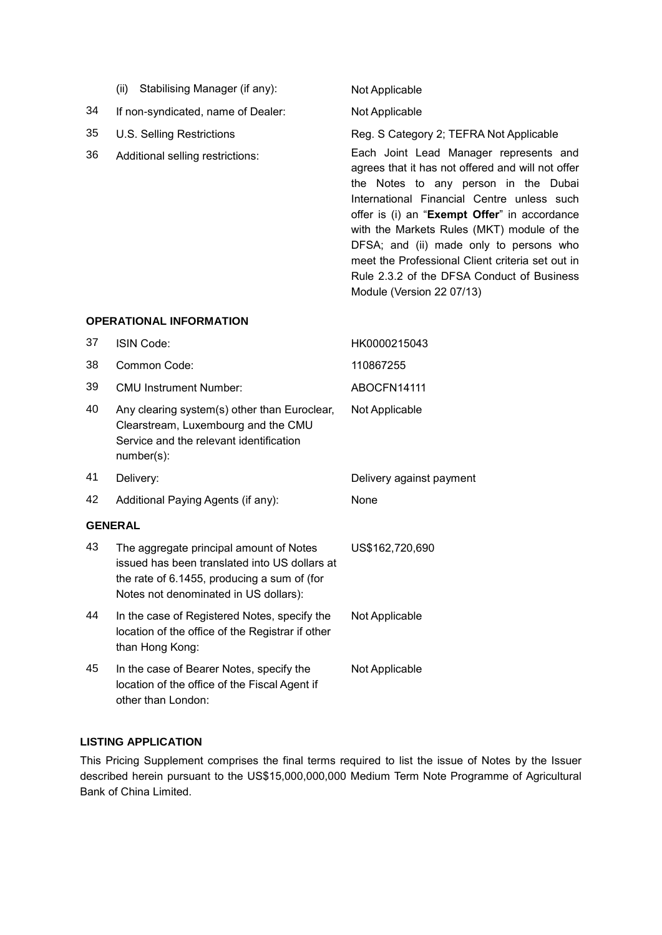| (ii) Stabilising Manager (if any): |  |
|------------------------------------|--|
|                                    |  |

34 If non-syndicated, name of Dealer: Not Applicable

- 
- 

## Not Applicable

35 U.S. Selling Restrictions Reg. S Category 2; TEFRA Not Applicable

36 Additional selling restrictions: Each Joint Lead Manager represents and agrees that it has not offered and will not offer the Notes to any person in the Dubai International Financial Centre unless such offer is (i) an "**Exempt Offer**" in accordance with the Markets Rules (MKT) module of the DFSA; and (ii) made only to persons who meet the Professional Client criteria set out in Rule 2.3.2 of the DFSA Conduct of Business Module (Version 22 07/13)

## **OPERATIONAL INFORMATION**

| 37             | ISIN Code:                                                                                                                                                                       | HK0000215043             |  |  |
|----------------|----------------------------------------------------------------------------------------------------------------------------------------------------------------------------------|--------------------------|--|--|
| 38             | Common Code:                                                                                                                                                                     | 110867255                |  |  |
| 39             | <b>CMU Instrument Number:</b>                                                                                                                                                    | ABOCFN14111              |  |  |
| 40             | Any clearing system(s) other than Euroclear,<br>Clearstream, Luxembourg and the CMU<br>Service and the relevant identification<br>number(s):                                     | Not Applicable           |  |  |
| 41             | Delivery:                                                                                                                                                                        | Delivery against payment |  |  |
| 42             | Additional Paying Agents (if any):                                                                                                                                               | None                     |  |  |
| <b>GENERAL</b> |                                                                                                                                                                                  |                          |  |  |
| 43             | The aggregate principal amount of Notes<br>issued has been translated into US dollars at<br>the rate of 6.1455, producing a sum of (for<br>Notes not denominated in US dollars): | US\$162,720,690          |  |  |
| 44             | In the case of Registered Notes, specify the<br>location of the office of the Registrar if other<br>than Hong Kong:                                                              | Not Applicable           |  |  |
| 45             | In the case of Bearer Notes, specify the<br>location of the office of the Fiscal Agent if<br>other than London:                                                                  | Not Applicable           |  |  |

## **LISTING APPLICATION**

This Pricing Supplement comprises the final terms required to list the issue of Notes by the Issuer described herein pursuant to the US\$15,000,000,000 Medium Term Note Programme of Agricultural Bank of China Limited.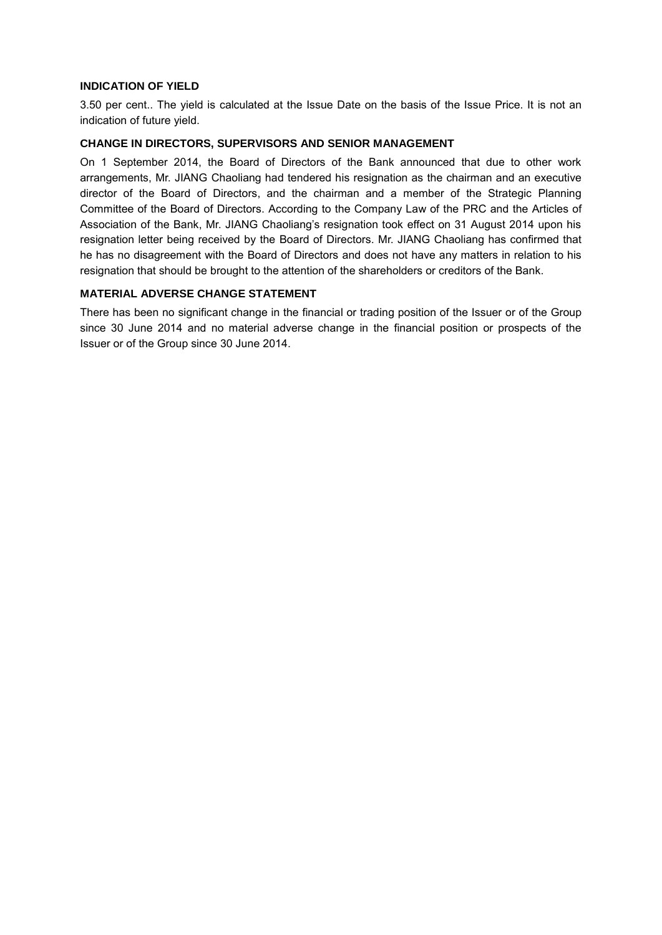## **INDICATION OF YIELD**

3.50 per cent.. The yield is calculated at the Issue Date on the basis of the Issue Price. It is not an indication of future yield.

### **CHANGE IN DIRECTORS, SUPERVISORS AND SENIOR MANAGEMENT**

On 1 September 2014, the Board of Directors of the Bank announced that due to other work arrangements, Mr. JIANG Chaoliang had tendered his resignation as the chairman and an executive director of the Board of Directors, and the chairman and a member of the Strategic Planning Committee of the Board of Directors. According to the Company Law of the PRC and the Articles of Association of the Bank, Mr. JIANG Chaoliang's resignation took effect on 31 August 2014 upon his resignation letter being received by the Board of Directors. Mr. JIANG Chaoliang has confirmed that he has no disagreement with the Board of Directors and does not have any matters in relation to his resignation that should be brought to the attention of the shareholders or creditors of the Bank.

## **MATERIAL ADVERSE CHANGE STATEMENT**

There has been no significant change in the financial or trading position of the Issuer or of the Group since 30 June 2014 and no material adverse change in the financial position or prospects of the Issuer or of the Group since 30 June 2014.